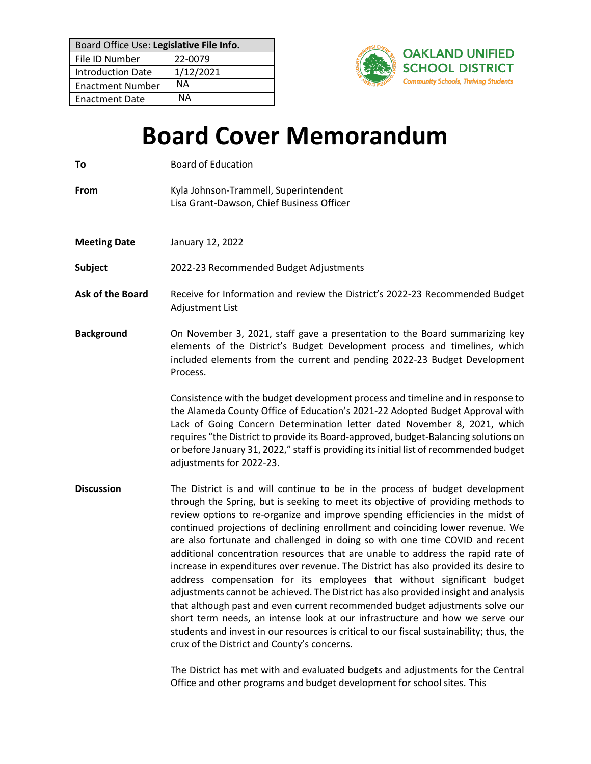| Board Office Use: Legislative File Info. |           |
|------------------------------------------|-----------|
| File ID Number                           | 22-0079   |
| <b>Introduction Date</b>                 | 1/12/2021 |
| <b>Enactment Number</b>                  | ΝA        |
| <b>Enactment Date</b>                    | NΑ        |



## **Board Cover Memorandum**

| To                      | <b>Board of Education</b>                                                                                                                                                                                                                                                                                                                                                                                                                                                                                                                                                                                                                                                                                                                                                                                                                                                                                                                                                                                                                                                   |
|-------------------------|-----------------------------------------------------------------------------------------------------------------------------------------------------------------------------------------------------------------------------------------------------------------------------------------------------------------------------------------------------------------------------------------------------------------------------------------------------------------------------------------------------------------------------------------------------------------------------------------------------------------------------------------------------------------------------------------------------------------------------------------------------------------------------------------------------------------------------------------------------------------------------------------------------------------------------------------------------------------------------------------------------------------------------------------------------------------------------|
| <b>From</b>             | Kyla Johnson-Trammell, Superintendent<br>Lisa Grant-Dawson, Chief Business Officer                                                                                                                                                                                                                                                                                                                                                                                                                                                                                                                                                                                                                                                                                                                                                                                                                                                                                                                                                                                          |
| <b>Meeting Date</b>     | January 12, 2022                                                                                                                                                                                                                                                                                                                                                                                                                                                                                                                                                                                                                                                                                                                                                                                                                                                                                                                                                                                                                                                            |
| Subject                 | 2022-23 Recommended Budget Adjustments                                                                                                                                                                                                                                                                                                                                                                                                                                                                                                                                                                                                                                                                                                                                                                                                                                                                                                                                                                                                                                      |
| <b>Ask of the Board</b> | Receive for Information and review the District's 2022-23 Recommended Budget<br>Adjustment List                                                                                                                                                                                                                                                                                                                                                                                                                                                                                                                                                                                                                                                                                                                                                                                                                                                                                                                                                                             |
| <b>Background</b>       | On November 3, 2021, staff gave a presentation to the Board summarizing key<br>elements of the District's Budget Development process and timelines, which<br>included elements from the current and pending 2022-23 Budget Development<br>Process.                                                                                                                                                                                                                                                                                                                                                                                                                                                                                                                                                                                                                                                                                                                                                                                                                          |
|                         | Consistence with the budget development process and timeline and in response to<br>the Alameda County Office of Education's 2021-22 Adopted Budget Approval with<br>Lack of Going Concern Determination letter dated November 8, 2021, which<br>requires "the District to provide its Board-approved, budget-Balancing solutions on<br>or before January 31, 2022," staff is providing its initial list of recommended budget<br>adjustments for 2022-23.                                                                                                                                                                                                                                                                                                                                                                                                                                                                                                                                                                                                                   |
| <b>Discussion</b>       | The District is and will continue to be in the process of budget development<br>through the Spring, but is seeking to meet its objective of providing methods to<br>review options to re-organize and improve spending efficiencies in the midst of<br>continued projections of declining enrollment and coinciding lower revenue. We<br>are also fortunate and challenged in doing so with one time COVID and recent<br>additional concentration resources that are unable to address the rapid rate of<br>increase in expenditures over revenue. The District has also provided its desire to<br>address compensation for its employees that without significant budget<br>adjustments cannot be achieved. The District has also provided insight and analysis<br>that although past and even current recommended budget adjustments solve our<br>short term needs, an intense look at our infrastructure and how we serve our<br>students and invest in our resources is critical to our fiscal sustainability; thus, the<br>crux of the District and County's concerns. |

The District has met with and evaluated budgets and adjustments for the Central Office and other programs and budget development for school sites. This